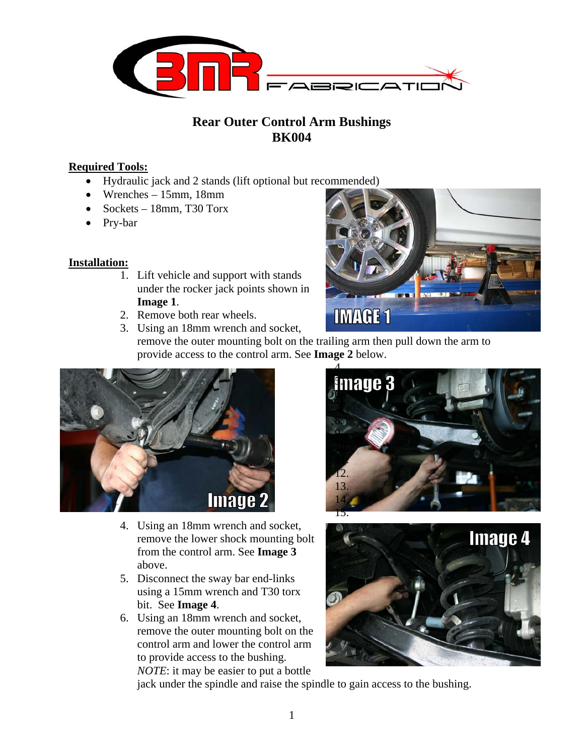

# **Rear Outer Control Arm Bushings BK004**

### **Required Tools:**

- Hydraulic jack and 2 stands (lift optional but recommended)
- Wrenches 15mm, 18mm
- Sockets 18mm, T30 Torx
- Pry-bar

### **Installation:**

- 1. Lift vehicle and support with stands under the rocker jack points shown in **Image 1**.
- 2. Remove both rear wheels.
- **IMAGE1** 3. Using an 18mm wrench and socket, remove the outer mounting bolt on the trailing arm then pull down the arm to provide access to the control arm. See **Image 2** below.



- 4. Using an 18mm wrench and socket, remove the lower shock mounting bolt from the control arm. See **Image 3** above.
- 5. Disconnect the sway bar end-links using a 15mm wrench and T30 torx bit. See **Image 4**.
- 6. Using an 18mm wrench and socket, remove the outer mounting bolt on the control arm and lower the control arm to provide access to the bushing. *NOTE*: it may be easier to put a bottle



m



jack under the spindle and raise the spindle to gain access to the bushing.